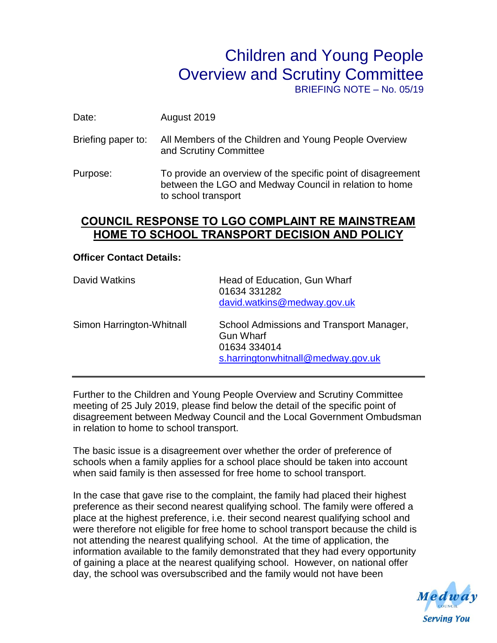## Children and Young People Overview and Scrutiny Committee

BRIEFING NOTE – No. 05/19

Date: August 2019

- Briefing paper to: All Members of the Children and Young People Overview and Scrutiny Committee
- Purpose: To provide an overview of the specific point of disagreement between the LGO and Medway Council in relation to home to school transport

## **COUNCIL RESPONSE TO LGO COMPLAINT RE MAINSTREAM HOME TO SCHOOL TRANSPORT DECISION AND POLICY**

## **Officer Contact Details:**

| David Watkins             | Head of Education, Gun Wharf<br>01634 331282<br>david.watkins@medway.gov.uk                                        |
|---------------------------|--------------------------------------------------------------------------------------------------------------------|
| Simon Harrington-Whitnall | School Admissions and Transport Manager,<br><b>Gun Wharf</b><br>01634 334014<br>s.harringtonwhitnall@medway.gov.uk |

Further to the Children and Young People Overview and Scrutiny Committee meeting of 25 July 2019, please find below the detail of the specific point of disagreement between Medway Council and the Local Government Ombudsman in relation to home to school transport.

The basic issue is a disagreement over whether the order of preference of schools when a family applies for a school place should be taken into account when said family is then assessed for free home to school transport.

In the case that gave rise to the complaint, the family had placed their highest preference as their second nearest qualifying school. The family were offered a place at the highest preference, i.e. their second nearest qualifying school and were therefore not eligible for free home to school transport because the child is not attending the nearest qualifying school. At the time of application, the information available to the family demonstrated that they had every opportunity of gaining a place at the nearest qualifying school. However, on national offer day, the school was oversubscribed and the family would not have been

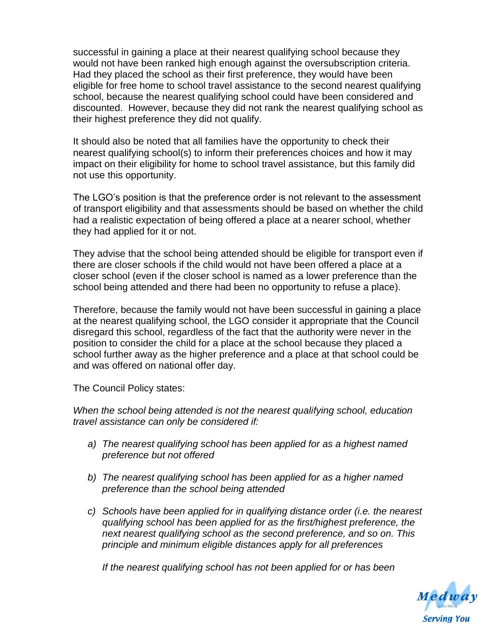successful in gaining a place at their nearest qualifying school because they would not have been ranked high enough against the oversubscription criteria. Had they placed the school as their first preference, they would have been eligible for free home to school travel assistance to the second nearest qualifying school, because the nearest qualifying school could have been considered and discounted. However, because they did not rank the nearest qualifying school as their highest preference they did not qualify.

It should also be noted that all families have the opportunity to check their nearest qualifying school(s) to inform their preferences choices and how it may impact on their eligibility for home to school travel assistance, but this family did not use this opportunity.

The LGO's position is that the preference order is not relevant to the assessment of transport eligibility and that assessments should be based on whether the child had a realistic expectation of being offered a place at a nearer school, whether they had applied for it or not.

They advise that the school being attended should be eligible for transport even if there are closer schools if the child would not have been offered a place at a closer school (even if the closer school is named as a lower preference than the school being attended and there had been no opportunity to refuse a place).

Therefore, because the family would not have been successful in gaining a place at the nearest qualifying school, the LGO consider it appropriate that the Council disregard this school, regardless of the fact that the authority were never in the position to consider the child for a place at the school because they placed a school further away as the higher preference and a place at that school could be and was offered on national offer day.

The Council Policy states:

*When the school being attended is not the nearest qualifying school, education travel assistance can only be considered if:*

- *a) The nearest qualifying school has been applied for as a highest named preference but not offered*
- *b) The nearest qualifying school has been applied for as a higher named preference than the school being attended*
- *c) Schools have been applied for in qualifying distance order (i.e. the nearest qualifying school has been applied for as the first/highest preference, the next nearest qualifying school as the second preference, and so on. This principle and minimum eligible distances apply for all preferences*

*If the nearest qualifying school has not been applied for or has been*